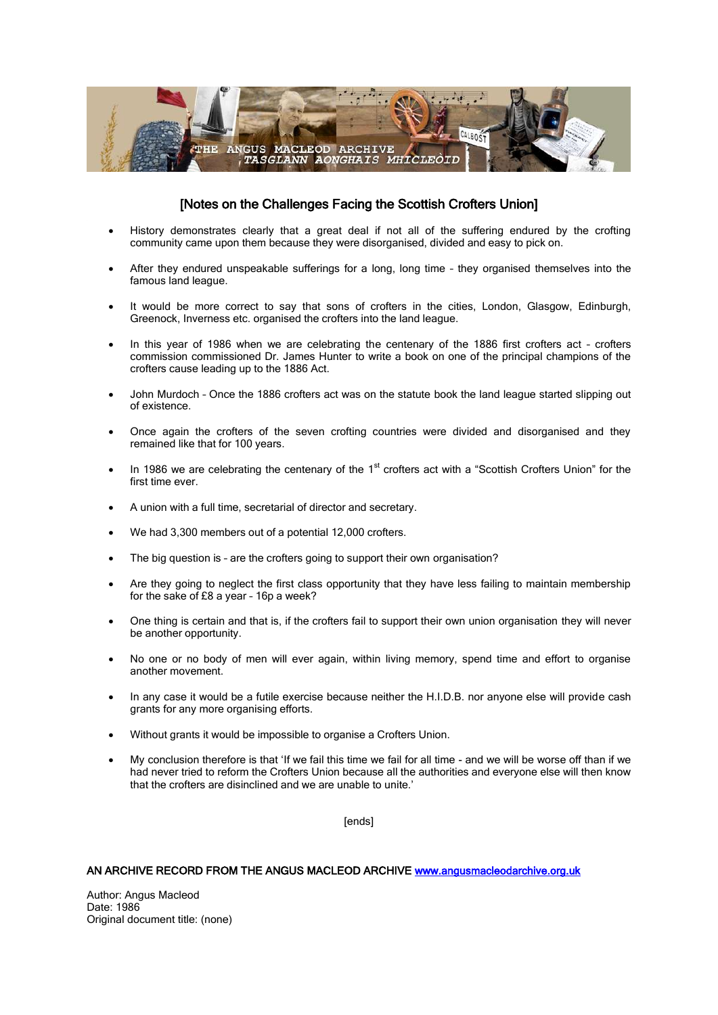

## [Notes on the Challenges Facing the Scottish Crofters Union]

- History demonstrates clearly that a great deal if not all of the suffering endured by the crofting community came upon them because they were disorganised, divided and easy to pick on.
- After they endured unspeakable sufferings for a long, long time they organised themselves into the famous land league.
- It would be more correct to say that sons of crofters in the cities, London, Glasgow, Edinburgh, Greenock, Inverness etc. organised the crofters into the land league.
- In this year of 1986 when we are celebrating the centenary of the 1886 first crofters act crofters commission commissioned Dr. James Hunter to write a book on one of the principal champions of the crofters cause leading up to the 1886 Act.
- John Murdoch Once the 1886 crofters act was on the statute book the land league started slipping out of existence.
- Once again the crofters of the seven crofting countries were divided and disorganised and they remained like that for 100 years.
- In 1986 we are celebrating the centenary of the  $1<sup>st</sup>$  crofters act with a "Scottish Crofters Union" for the first time ever.
- A union with a full time, secretarial of director and secretary.
- We had 3,300 members out of a potential 12,000 crofters.
- The big question is are the crofters going to support their own organisation?
- Are they going to neglect the first class opportunity that they have less failing to maintain membership for the sake of £8 a year – 16p a week?
- One thing is certain and that is, if the crofters fail to support their own union organisation they will never be another opportunity.
- No one or no body of men will ever again, within living memory, spend time and effort to organise another movement.
- In any case it would be a futile exercise because neither the H.I.D.B. nor anyone else will provide cash grants for any more organising efforts.
- Without grants it would be impossible to organise a Crofters Union.
- My conclusion therefore is that 'If we fail this time we fail for all time and we will be worse off than if we had never tried to reform the Crofters Union because all the authorities and everyone else will then know that the crofters are disinclined and we are unable to unite.'

[ends]

## AN ARCHIVE RECORD FROM THE ANGUS MACLEOD ARCHIVE [www.angusmacleodarchive.org.uk](http://www.angusmacleodarchive.org.uk/)

Author: Angus Macleod Date: 1986 Original document title: (none)